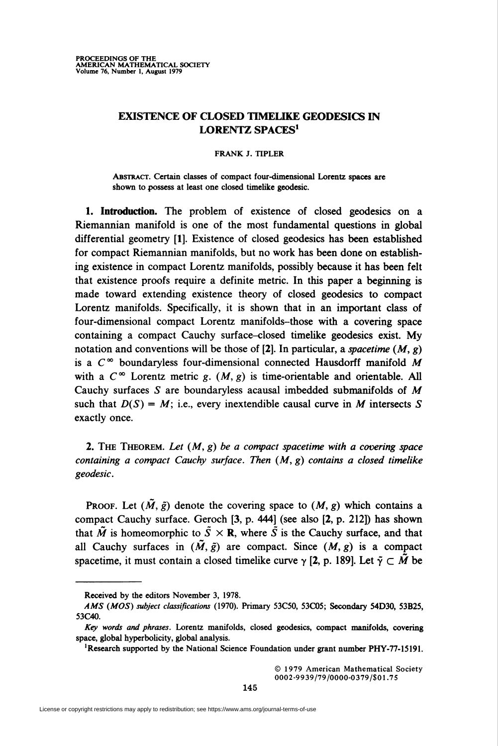## EXISTENCE OF CLOSED TIMELIKE GEODESICS IN LORENTZ SPACES<sup>1</sup>

## FRANK J. TIPLER

Abstract. Certain classes of compact four-dimensional Lorentz spaces are shown to possess at least one closed timelike geodesic.

1. Introduction. The problem of existence of closed geodesics on a Riemannian manifold is one of the most fundamental questions in global differential geometry [1]. Existence of closed geodesics has been established for compact Riemannian manifolds, but no work has been done on establishing existence in compact Lorentz manifolds, possibly because it has been felt that existence proofs require a definite metric. In this paper a beginning is made toward extending existence theory of closed geodesics to compact Lorentz manifolds. Specifically, it is shown that in an important class of four-dimensional compact Lorentz manifolds-those with a covering space containing a compact Cauchy surface-closed timelike geodesics exist. My notation and conventions will be those of [2]. In particular, a spacetime  $(M, g)$ is a  $C^{\infty}$  boundaryless four-dimensional connected Hausdorff manifold M with a  $C^{\infty}$  Lorentz metric g.  $(M, g)$  is time-orientable and orientable. All Cauchy surfaces S are boundaryless acausal imbedded submanifolds of M such that  $D(S) = M$ ; i.e., every inextendible causal curve in M intersects S exactly once.

2. THE THEOREM. Let  $(M, g)$  be a compact spacetime with a covering space containing a compact Cauchy surface. Then  $(M, g)$  contains a closed timelike geodesic.

**PROOF.** Let  $(\tilde{M}, \tilde{g})$  denote the covering space to  $(M, g)$  which contains a compact Cauchy surface. Geroch [3, p. 444] (see also [2, p. 212]) has shown that  $\tilde{M}$  is homeomorphic to  $\tilde{S} \times \mathbb{R}$ , where  $\tilde{S}$  is the Cauchy surface, and that all Cauchy surfaces in  $(M, \tilde{g})$  are compact. Since  $(M, g)$  is a compact spacetime, it must contain a closed timelike curve  $\gamma$  [2, p. 189]. Let  $\tilde{\gamma} \subset \tilde{M}$  be

© 1979 American Mathematical Society 0002-9939/79/0000-0379/S01.75

Received by the editors November 3, 1978.

AMS (MOS) subject classifications (1970). Primary 53C50, 53C05; Secondary 54D30, 53B25, 53C40.

Key words and phrases. Lorentz manifolds, closed geodesies, compact manifolds, covering space, global hyperbolicity, global analysis.

<sup>&#</sup>x27;Research supported by the National Science Foundation under grant number PHY-77-15191.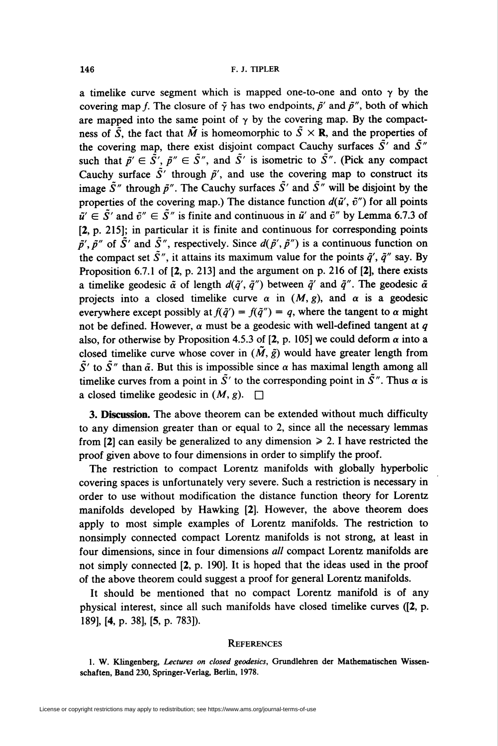a timelike curve segment which is mapped one-to-one and onto  $\gamma$  by the covering map f. The closure of  $\tilde{\gamma}$  has two endpoints,  $\tilde{p}'$  and  $\tilde{p}''$ , both of which are mapped into the same point of  $\gamma$  by the covering map. By the compactness of  $\tilde{S}$ , the fact that  $\tilde{M}$  is homeomorphic to  $\tilde{S} \times \mathbf{R}$ , and the properties of the covering map, there exist disjoint compact Cauchy surfaces  $\tilde{S}'$  and  $\tilde{S}''$ such that  $\tilde{p'} \in \tilde{S'}$ ,  $\tilde{p}'' \in \tilde{S''}$ , and  $\tilde{S'}$  is isometric to  $\tilde{S''}$ . (Pick any compact Cauchy surface  $\tilde{S}'$  through  $\tilde{p}'$ , and use the covering map to construct its image  $\tilde{S}''$  through  $\tilde{p}''$ . The Cauchy surfaces  $\tilde{S}'$  and  $\tilde{S}''$  will be disjoint by the properties of the covering map.) The distance function  $d(\tilde{u}', \tilde{v}'')$  for all points  $\tilde{u}' \in \tilde{S}'$  and  $\tilde{v}'' \in \tilde{S}''$  is finite and continuous in  $\tilde{u}'$  and  $\tilde{v}''$  by Lemma 6.7.3 of [2, p. 215]; in particular it is finite and continuous for corresponding points  $\tilde{p}'$ ,  $\tilde{p}''$  of  $\tilde{S}'$  and  $\tilde{S}''$ , respectively. Since  $d(\tilde{p}', \tilde{p}'')$  is a continuous function on the compact set  $\tilde{S}''$ , it attains its maximum value for the points  $\tilde{q}'$ ,  $\tilde{q}''$  say. By Proposition 6.7.1 of [2, p. 213] and the argument on p. 216 of [2], there exists a timelike geodesic  $\tilde{\alpha}$  of length  $d(\tilde{q}', \tilde{q}'')$  between  $\tilde{q}'$  and  $\tilde{q}''$ . The geodesic  $\tilde{\alpha}$ projects into a closed timelike curve  $\alpha$  in  $(M, g)$ , and  $\alpha$  is a geodesic everywhere except possibly at  $f(\tilde{q}') = f(\tilde{q}'') = q$ , where the tangent to  $\alpha$  might not be defined. However,  $\alpha$  must be a geodesic with well-defined tangent at q also, for otherwise by Proposition 4.5.3 of [2, p. 105] we could deform  $\alpha$  into a closed timelike curve whose cover in  $(M, \tilde{g})$  would have greater length from  $\tilde{S}'$  to  $\tilde{S}''$  than  $\tilde{\alpha}$ . But this is impossible since  $\alpha$  has maximal length among all timelike curves from a point in  $\tilde{S}'$  to the corresponding point in  $\tilde{S}''$ . Thus  $\alpha$  is a closed timelike geodesic in  $(M, g)$ .  $\square$ 

3. Discussion. The above theorem can be extended without much difficulty to any dimension greater than or equal to 2, since all the necessary lemmas from [2] can easily be generalized to any dimension  $\ge 2$ . I have restricted the proof given above to four dimensions in order to simplify the proof.

The restriction to compact Lorentz manifolds with globally hyperbolic covering spaces is unfortunately very severe. Such a restriction is necessary in order to use without modification the distance function theory for Lorentz manifolds developed by Hawking [2]. However, the above theorem does apply to most simple examples of Lorentz manifolds. The restriction to nonsimply connected compact Lorentz manifolds is not strong, at least in four dimensions, since in four dimensions all compact Lorentz manifolds are not simply connected [2, p. 190]. It is hoped that the ideas used in the proof of the above theorem could suggest a proof for general Lorentz manifolds.

It should be mentioned that no compact Lorentz manifold is of any physical interest, since all such manifolds have closed timelike curves ([2, p. 189], [4, p. 38], [5, p. 783]).

## **REFERENCES**

<sup>1.</sup> W. Klingenberg, Lectures on closed geodesics, Grundlehren der Mathematischen Wissenschaften, Band 230, Springer-Verlag, Berlin, 1978.